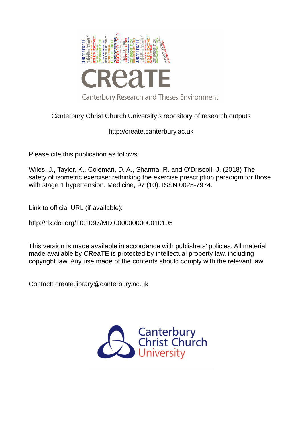

Canterbury Christ Church University's repository of research outputs

http://create.canterbury.ac.uk

Please cite this publication as follows:

Wiles, J., Taylor, K., Coleman, D. A., Sharma, R. and O'Driscoll, J. (2018) The safety of isometric exercise: rethinking the exercise prescription paradigm for those with stage 1 hypertension. Medicine, 97 (10). ISSN 0025-7974.

Link to official URL (if available):

http://dx.doi.org/10.1097/MD.0000000000010105

This version is made available in accordance with publishers' policies. All material made available by CReaTE is protected by intellectual property law, including copyright law. Any use made of the contents should comply with the relevant law.

Contact: create.library@canterbury.ac.uk

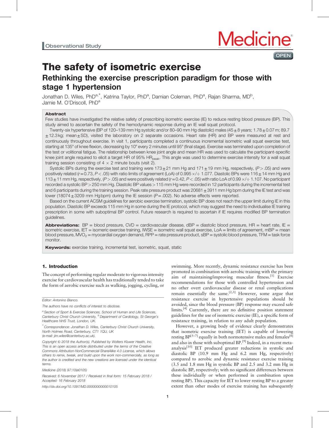

# The safety of isometric exercise

# Rethinking the exercise prescription paradigm for those with stage 1 hypertension

Jonathan D. Wiles, PhD<sup>a,\*</sup>, Katrina Taylor, PhD<sup>a</sup>, Damian Coleman, PhD<sup>a</sup>, Rajan Sharma, MD<sup>b</sup>, Jamie M. O'Driscoll, PhD<sup>a</sup>

# Abstract

Few studies have investigated the relative safety of prescribing isometric exercise (IE) to reduce resting blood pressure (BP). This study aimed to ascertain the safety of the hemodynamic response during an IE wall squat protocol.

Twenty-six hypertensive (BP of 120–139 mm Hg systolic and/or 80–90 mm Hg diastolic) males (45 $\pm$ 8 years; 1.78 $\pm$ 0.07 m; 89.7 ±12.3 kg; mean±SD), visited the laboratory on 2 separate occasions. Heart rate (HR) and BP were measured at rest and continuously throughout exercise. In visit 1, participants completed a continuous incremental isometric wall squat exercise test, starting at 135° of knee flexion, decreasing by 10° every 2 minutes until 95° (final stage). Exercise was terminated upon completion of the test or volitional fatigue. The relationship between knee joint angle and mean HR was used to calculate the participant-specific knee joint angle required to elicit a target HR of 95% HR<sub>peak</sub>. This angle was used to determine exercise intensity for a wall squat training session consisting of  $4 \times 2$  minute bouts (visit 2).

Systolic BPs during the exercise test and training were  $173\pm21$  mm Hg and  $171\pm19$  mm Hg, respectively,  $(P > .05)$  and were positively related ( $r=0.73$ , P < .05) with ratio limits of agreement (LoA) of 0.995  $\times/$  1.077. Diastolic BPs were 116 + 14 mm Hg and 113 $\pm$ 11 mm Hg, respectively, (P > .05) and were positively related (r = 0.42, P < .05) with ratio LoA of 0.99  $\times$ / $\div$  1.107. No participant recorded a systolic BP > 250 mm Hg. Diastolic BP values > 115 mm Hg were recorded in 12 participants during the incremental test and 6 participants during the training session. Peak rate pressure product was 20681 $\pm$ 3911 mm Hg bpm during the IE test and was lower (18074 $\pm$ 3209 mm Hg bpm) during the IE session ( $P = .002$ ). No adverse effects were reported.

Based on the current ACSM guidelines for aerobic exercise termination, systolic BP does not reach the upper limit during IE in this population. Diastolic BP exceeds 115 mm Hg in some during the IE protocol, which may suggest the need to individualise IE training prescription in some with suboptimal BP control. Future research is required to ascertain if IE requires modified BP termination guidelines.

**Abbreviations:**  $BP =$  blood pressure,  $CVD =$  cardiovascular disease,  $dBP =$  diastolic blood pressure,  $HR =$  heart rate,  $IE =$ isometric exercise, IET = isomeric exercise training, IWSE = isometric wall squat exercise, LoA = limits of agreement, mBP = mean blood pressure,  $MVO<sub>2</sub>$  = myocardial oxygen demand, RPP = rate pressure product,  $SBP$  = systolic blood pressure, TFM = task force monitor.

Keywords: exercise training, incremental test, isometric, squat, static

# 1. Introduction

The concept of performing regular moderate to vigorous intensity exercise for cardiovascular health has traditionally tended to take the form of aerobic exercise such as walking, jogging, cycling, or

Received: 6 November 2017 / Received in final form: 15 February 2018 / Accepted: 16 February 2018

<http://dx.doi.org/10.1097/MD.0000000000010105>

swimming. More recently, dynamic resistance exercise has been promoted in combination with aerobic training with the primary aim of maintaining/improving muscular fitness.[\[1\]](#page-7-0) Exercise recommendations for those with controlled hypertension and no other overt cardiovascular disease or renal complications remain essentially the same. $[2,3]$  However, some argue that resistance exercise in hypertensive populations should be avoided, since the blood pressure (BP) response may exceed safe limits.<sup>[\[4\]](#page-7-0)</sup> Currently, there are no definitive position statement guidelines for the use of isometric exercise (IE), a specific form of resistance training, in relation to any adult population.

However, a growing body of evidence clearly demonstrates that isometric exercise training (IET) is capable of lowering resting  $BP^{[5-7]}$  equally in both normotensive males and females<sup>[\[8\]](#page-7-0)</sup> and also in those with suboptimal BP.<sup>[\[9\]](#page-7-0)</sup> Indeed, in a recent metaanalysis $^{[10]}$  $^{[10]}$  $^{[10]}$  IET produced greater reductions in systolic and diastolic BP (10.9 mm Hg and 6.2 mm Hg, respectively) compared to aerobic and dynamic resistance exercise training (3.5 and 1.8 mm Hg in systolic BP and 2.5 and 3.2 mm Hg in diastolic BP, respectively; with no significant differences between these individually or when performed in combination upon resting BP). This capacity for IET to lower resting BP to a greater extent than other modes of exercise training has subsequently

Editor: Antonino Bianco.

The authors have no conflicts of interest to disclose.

<sup>&</sup>lt;sup>a</sup> Section of Sport & Exercise Sciences, School of Human and Life Sciences, Canterbury Christ Church University, <sup>b</sup> Department of Cardiology, St George's Healthcare NHS Trust, London, UK.

<sup>∗</sup> Correspondence: Jonathan D. Wiles, Canterbury Christ Church University, North Holmes Road, Canterbury, CT1 1QU, UK

<sup>(</sup>e-mail: [jim.wiles@canterbury.ac.uk\).](mailto:jim.wiles@canterbury.ac.uk).)

Copyright © 2018 the Author(s). Published by Wolters Kluwer Health, Inc. This is an open access article distributed under the terms of the Creative Commons Attribution-NonCommercial-ShareAlike 4.0 License, which allows others to remix, tweak, and build upon the work non-commercially, as long as the author is credited and the new creations are licensed under the identical terms.

Medicine (2018) 97:10(e0105)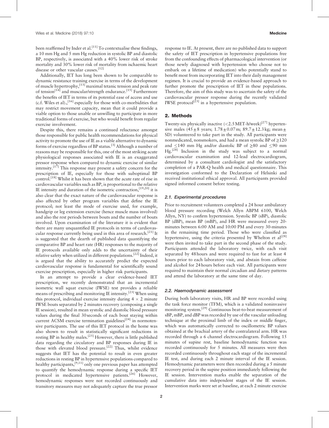been reaffirmed by Inder et al.<sup>[\[11\]](#page-7-0)</sup> To contextualise these findings, a 10 mm Hg and 5 mm Hg reduction in systolic BP and diastolic BP, respectively, is associated with a 40% lower risk of stroke mortality and 30% lower risk of mortality from ischaemic heart disease or other vascular causes[.\[12\]](#page-7-0)

Additionally, IET has long been shown to be comparable to dynamic resistance training exercise in terms of the development of muscle hypertrophy,<sup>[\[13\]](#page-7-0)</sup> maximal tetanic tension and peak rate of tension<sup>[\[14\]](#page-7-0)</sup> and muscular/strength endurance.<sup>[15]</sup> Furthermore the benefits of IET in terms of its potential ease of access and use (c.f. Wiles et al).,[\[16\]](#page-7-0) especially for those with co-morbidities that may restrict movement capacity, mean that it could provide a viable option to those unable or unwilling to participate in more traditional forms of exercise, but who would benefit from regular exercise involvement.

Despite this, there remains a continued reluctance amongst those responsible for public health recommendations for physical activity to promote the use of IE as a viable alternative to dynamic forms of exercise regardless of BP status.[\[3\]](#page-7-0) Although a number of reasons may be responsible for this, one of the most striking acute physiological responses associated with IE is an exaggerated pressor response when compared to dynamic exercise of similar intensity.<sup>[\[17\]](#page-7-0)</sup> This response may present a safety concern for the prescription of IE, especially for those with suboptimal BP control.<sup>[\[18\]](#page-7-0)</sup> Whilst it has been shown that the acute rate of rise in cardiovascular variables such as BP, is proportional to the relative IE intensity and duration of the isometric contraction,<sup>[19,20]</sup> it is also clear that the exact nature of the cardiovascular response is also affected by other program variables that define the IE protocol; not least the mode of exercise used, for example, handgrip or leg extension exercise (hence muscle mass involved) and also the rest periods between bouts and the number of bouts involved. Upon examination of the literature it is evident that there are many unquantified IE protocols in terms of cardiovas-cular response currently being used in this area of research.<sup>[\[21\]](#page-7-0)</sup> It is suggested that the dearth of published data quantifying the comparative BP and heart rate (HR) responses to the majority of IE protocols available only adds to the uncertainty of their relative safety when utilized in different populations.[\[22\]](#page-7-0) Indeed, it is argued that the ability to accurately predict the expected cardiovascular response is fundamental for scientifically sound exercise prescription, especially in higher risk participants.

In an attempt to provide a clear evidence-based IET prescription, we recently demonstrated that an incremental isometric wall squat exercise (IWSE) test provides a reliable means of prescribing and monitoring IE intensity.[\[23\]](#page-7-0) When using this protocol, individual exercise intensity during  $4 \times 2$  minute IWSE bouts separated by 2 minutes recovery (composing a single IE session), resulted in mean systolic and diastolic blood pressure values during the final 30 seconds of each bout staying within current ACSM exercise termination guidelines<sup>[\[24\]](#page-7-0)</sup> in normotensive participants. The use of this IET protocol in the home was also shown to result in statistically significant reductions in resting BP in healthy males.[\[25\]](#page-7-0) However, there is little published data regarding the circulatory and BP responses during IE in those with elevated blood pressure.<sup>[\[22\]](#page-7-0)</sup> Thus, whilst evidence suggests that IET has the potential to result in even greater reductions in resting BP in hypertensive populations compared to healthy participants,[9,11] only one previous paper has attempted to quantify the hemodynamic response during a specific IET protocol in medicated hypertensive patients.<sup>[\[26\]](#page-7-0)</sup> However, hemodynamic responses were not recorded continuously and transitory measures may not adequately capture the true pressor response to IE. At present, there are no published data to support the safety of IET prescription in hypertensive populations free from the confounding effects of pharmacological intervention (or those newly diagnosed with hypertension who choose not to embark on a lifetime of medication) who potentially stand to benefit most from incorporating IET into their daily management regimen. It is crucial to provide an evidence-based approach to further promote the prescription of IET in these populations. Therefore, the aim of this study was to ascertain the safety of the cardiovascular pressor response during the recently validated IWSE protocol<sup>[\[23\]](#page-7-0)</sup> in a hypertensive population.

# 2. Methods

Twenty-six physically inactive  $(<2.5 \text{ MET-h/week})^{[27]}$  $(<2.5 \text{ MET-h/week})^{[27]}$  $(<2.5 \text{ MET-h/week})^{[27]}$  hypertensive males  $(45 \pm 8 \text{ years}; 1.78 \pm 0.07 \text{ m}; 89.7 \pm 12.3 \text{ kg}; \text{ mean} \pm \text{ m}$ SD) volunteered to take part in the study. All participants were nonmedicated, nonsmokers, and had a mean systolic BP of  $\geq$ 120 and  $\leq$ 140 mm Hg and/or diastolic BP of  $\geq$ 80 and  $\leq$ 90 mm Hg[.\[28\]](#page-7-0) Inclusion in the study was subject to a normal cardiovascular examination and 12-lead electrocardiogram, determined by a consultant cardiologist and the satisfactory completion of a PAR-Q health and medical questionnaire. This investigation conformed to the Declaration of Helsinki and received institutional ethical approval. All participants provided signed informed consent before testing.

#### 2.1. Experimental procedures

Prior to recruitment volunteers completed a 24 hour ambulatory blood pressure recording (Welch Allyn ABPM 6100, Welch Allyn, NY) to confirm hypertension. Systolic BP (sBP), diastolic BP (dBP), mean BP (mBP), and HR were measured every 20 minutes between 6:00 AM and 10:00 PM and every 30-minutes in the remaining time period. Those who were classified as hypertensive, using the criteria presented by Whelton et al<sup>[\[28\]](#page-7-0)</sup> were then invited to take part in the second phase of the study. Participants attended the laboratory twice, with each visit separated by 48 hours and were required to fast for at least 4 hours prior to each laboratory visit, and abstain from caffeine and alcohol for 24 hours before each visit. All participants were required to maintain their normal circadian and dietary patterns and attend the laboratory at the same time of day.

## 2.2. Haemodynamic assessment

During both laboratory visits, HR and BP were recorded using the task force monitor (TFM), which is a validated noninvasive monitoring system.<sup>[\[29\]](#page-8-0)</sup> Continuous beat-to-beat measurement of sBP, mBP, and dBP was recorded by use of the vascular unloading technique at the proximal limb of the index or middle finger, which was automatically corrected to oscillometric BP values obtained at the brachial artery of the contralateral arm. HR was recorded through a 6 channel electrocardiogram. Following 15 minutes of supine rest, baseline hemodynamic function was recorded continuously for 5 minutes. All measures were then recorded continuously throughout each stage of the incremental IE test, and during each 2 minute interval of the IE session. Hemodynamic parameters were then recorded during a 5 minute recovery period in the supine position immediately following the IE session. Intervention marks enable the separation of the cumulative data into independent stages of the IE session. Intervention marks were set at baseline, at each 2 minute exercise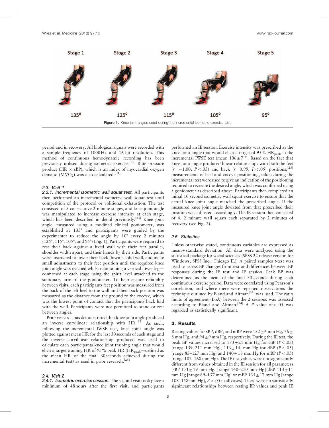

period and in recovery. All biological signals were recorded with a sample frequency of 1000Hz and 16-bit resolution. This method of continuous hemodynamic recording has been previously utilised during isometric exercise.<sup>[\[30\]](#page-8-0)</sup> Rate pressure product (HR  $\times$  sBP), which is an index of myocardial oxygen demand  $(MVO<sub>2</sub>)$  was also calculated.<sup>[\[31\]](#page-8-0)</sup>

#### 2.3. Visit 1

2.3.1. Incremental isometric wall squat test. All participants then performed an incremental isometric wall squat test until competition of the protocol or volitional exhaustion. The test consisted of 5 consecutive 2-minute stages, and knee joint angle was manipulated to increase exercise intensity at each stage, which has been described in detail previously.<sup>[\[25\]](#page-7-0)</sup> Knee joint angle, measured using a modified clinical goniometer, was established at 135° and participants were guided by the experimenter to reduce the angle by 10° every 2 minutes (125°, 115°, 105°, and 95°) (Fig. 1). Participants were required to rest their back against a fixed wall with their feet parallel, shoulder width apart, and their hands by their side. Participants were instructed to lower their back down a solid wall, and make small adjustments to their feet position until the required knee joint angle was reached whilst maintaining a vertical lower leg confirmed at each stage using the spirit level attached to the stationary arm of the goniometer. To help ensure reliability between visits, each participants feet position was measured from the back of the left heel to the wall and their back position was measured as the distance from the ground to the coccyx, which was the lowest point of contact that the participants back had with the wall. Participants were not permitted to stand or rest between angles.

Prior research has demonstrated that knee joint angle produced an inverse curvilinear relationship with  $HR$ <sup>[\[32\]](#page-8-0)</sup> As such, following the incremental IWSE test, knee joint angle was plotted against mean HR for the last 30 seconds of each stage and the inverse curvilinear relationship produced was used to calculate each participants knee joint training angle that would elicit a target training HR of 95% peak HR (HR<sub>peak</sub>—defined as the mean HR of the final 30 seconds achieved during the incremental test) as used in prior research.<sup>[\[25\]](#page-7-0)</sup>

# 2.4. Visit 2

2.4.1. **Isometric exercise session.** The second visit took place a minimum of 48 hours after the first visit, and participants performed an IE session. Exercise intensity was prescribed as the knee joint angle that would elicit a target of  $95\%$  HR<sub>peak</sub> in the incremental IWSE test (mean  $106 \pm 7$  °). Based on the fact that knee joint angle produced linear relationships with both the feet  $(r=-1.00; P<.05)$  and back  $(r=0.99; P<.05)$  positions,<sup>[\[25\]](#page-7-0)</sup> measurements of heel and coccyx positioning, taken during the incremental test were used to give an indication of the positioning required to recreate the desired angle, which was confirmed using a goniometer as described above. Participants then completed an initial 10 second isometric wall squat exercise to ensure that the actual knee joint angle matched the prescribed angle. If the measured knee joint angle deviated from that prescribed their position was adjusted accordingly. The IE session then consisted of 4, 2 minute wall squats each separated by 2 minutes of recovery (see [Fig. 2](#page-4-0)).

### 2.5. Statistics

Unless otherwise stated, continuous variables are expressed as mean±standard deviation. All data were analyzed using the statistical package for social sciences (SPSS 22 release version for Windows; SPSS Inc., Chicago IL). A paired samples t-test was used to assess BP changes from rest and differences between BP responses during the IE test and IE session. Peak BP was determined as the mean of the final 30 seconds during each continuous exercise period. Data were correlated using Pearson's correlation, and where there were repeated observations the technique outlined by Bland and Altman<sup>[\[33\]](#page-8-0)</sup> was used. The ratio limits of agreement (LoA) between the 2 sessions was assessed according to Bland and Altman.<sup>[\[34\]](#page-8-0)</sup> A P value of  $<$  0.05 was regarded as statistically significant.

# 3. Results

Resting values for sBP, dBP, and mBP were  $132 \pm 6$  mm Hg,  $76 \pm 12$ 8 mm Hg, and  $94 \pm 9$  mm Hg, respectively. During the IE test, the peak BP values increased to  $173 \pm 21$  mm Hg for sBP ( $P < .05$ ) (range 139–211 mm Hg),  $116 \pm 14$ , mm Hg for dBP (P < .05) (range 85–127 mm Hg) and  $140 \pm 18$  mm Hg for mBP ( $P < .05$ ) (range 102–168 mm Hg). The IE test values were not significantly different from values obtained in the IE session for all parameters (sBP  $171 \pm 19$  mm Hg, [range 140–210 mm Hg] dBP  $113 \pm 11$ mm Hg [range 89–137 mm Hg] or mBP  $135 \pm 17$  mm Hg [range 108–158 mm Hg],  $P > .05$  in all cases). There were no statistically significant relationships between resting BP values and peak IE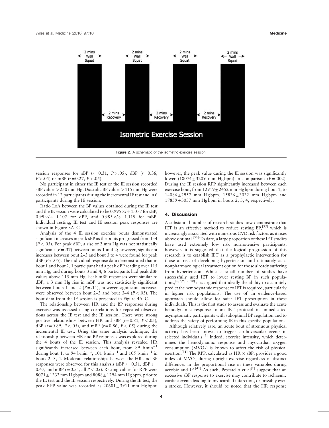<span id="page-4-0"></span>

session responses for sBP  $(r=0.31, P>0.05)$ , dBP  $(r=0.36,$  $P > .05$ ) or mBP ( $r = 0.27$ ,  $P > .05$ ).

No participant in either the IE test or the IE session recorded sBP values  $>$  250 mm Hg. Diastolic BP values  $>$  115 mm Hg were recorded in 12 participants during the incremental IE test and in 6 participants during the IE session.

Ratio LoA between the BP values obtained during the IE test and the IE session were calculated to be  $0.995 \times 1 : 1.077$  for sBP,  $0.99 \times 1$ : 1.107 for dBP, and  $0.985 \times 1$ : 1.119 for mBP. Individual resting, IE test and IE session peak responses are shown in [Figure 3A](#page-5-0)–C.

Analysis of the 4 IE session exercise bouts demonstrated significant increases in peak sBP as the bouts progressed from 1–4  $(P < .05)$ . For peak dBP, a rise of 2 mm Hg was not statistically significant ( $P = .37$ ) between bouts 1 and 2; however, significant increases between bout 2–3 and bout 3 to 4 were found for peak dBP ( $P < .05$ ). The individual response data demonstrated that in bout 1 and bout 2, 1 participant had a peak dBP reading over 115 mm Hg, and during bouts 3 and 4, 6 participants had peak dBP values above 115 mm Hg. Peak mBP responses were similar to dBP, a 3 mm Hg rise in mBP was not statistically significant between bouts 1 and 2 ( $P = .11$ ), however significant increases were observed between bout 2–3 and bout 3–4  $(P < .05)$ . The bout data from the IE session is presented in [Figure 4A](#page-5-0)–C.

The relationship between HR and the BP responses during exercise was assessed using correlations for repeated observations across the IE test and the IE session. There were strong positive relationships between HR and sBP  $(r=0.81, P<.05)$ , dBP ( $r=0.89$ ,  $P<.05$ ), and mBP ( $r=0.86$ ,  $P<.05$ ) during the incremental IE test. Using the same analysis technique, the relationship between HR and BP responses was explored during the 4 bouts of the IE session. This analysis revealed HR significantly increased between each bout, from  $89$  bmin<sup>-1</sup> during bout 1, to 94  $\mathrm{bmin}^{-1}$ , 101  $\mathrm{bmin}^{-1}$  and 105  $\mathrm{bmin}^{-1}$  in bouts 2, 3, 4. Moderate relationships between the HR and BP responses were observed for this analysis (sBP  $r=0.51$ , dBP  $r=$ 0.47, and mBP  $r = 0.51$ , all  $P < .05$ ). Resting values for RPP were  $8071 \pm 1332$  mm Hg bpm and  $8088 \pm 1294$  mm Hg bpm, prior to the IE test and the IE session respectively. During the IE test, the peak RPP value was recorded as  $20681 \pm 3911$  mm Hg bpm; however, the peak value during the IE session was significantly lower  $(18074 \pm 3209 \text{ mm Hg bpm})$  in comparison  $(P=.002)$ . During the IE session RPP significantly increased between each exercise bout, from  $12919 \pm 2452$  mm Hg bpm during bout 1, to  $14086 \pm 2957$  mm Hg bpm,  $15836 \pm 3032$  mm Hg bpm and  $17859 \pm 3037$  mm Hg bpm in bouts 2, 3, 4, respectively.

# 4. Discussion

A substantial number of research studies now demonstrate that IET is an effective method to reduce resting BP,<sup>[\[35\]](#page-8-0)</sup> which is increasingly associated with numerous CVD risk factors as it rises above optimal.<sup>[\[36\]](#page-8-0)</sup> To date, a large proportion of these IET studies have used extremely low risk normotensive participants; however, it is suggested that the logical progression of this research is to establish IET as a prophylactic intervention for those at risk of developing hypertension and ultimately as a nonpharmacological treatment option for those already suffering from hypertension. Whilst a small number of studies have successfully used IET to lower resting BP in such populations,  $[6,7,9,37-40]$  it is argued that ideally the ability to accurately predict the hemodynamic response to IET is required, particularly in higher risk populations. The use of an evidence-based approach should allow for safer IET prescription in these individuals. This is the first study to assess and evaluate the acute hemodynamic response to an IET protocol in unmedicated asymptomatic participants with suboptimal BP regulation and to address the safety of performing IE in this specific population.

Although relatively rare, an acute bout of strenuous physical activity has been known to trigger cardiovascular events in selected individuals.<sup>[\[2\]](#page-7-0)</sup> Indeed, exercise intensity, which determines the hemodynamic response and myocardial oxygen consumption  $(MVO<sub>2</sub>)$  is known to affect the risk of physical exertion.<sup>[\[31\]](#page-8-0)</sup> The RPP, calculated as HR  $\times$  sBP, provides a good index of  $\text{MVO}_2$  during upright exercise regardless of distinct differences in the proportional rise in these variables during aerobic and IE.<sup>[\[41\]](#page-8-0)</sup> As such, Pescatello et al<sup>[\[2\]](#page-7-0)</sup> suggest that an excessive sBP response to exercise may contribute to ischaemic cardiac events leading to myocardial infarction, or possibly even a stroke. However, it should be noted that the HR response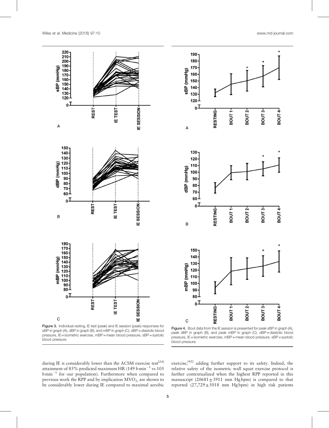<span id="page-5-0"></span>

sBP in graph (A), dBP in graph (B), and mBP in graph (C). dBP = diastolic blood pressure, IE=isometric exercise, mBP=mean blood pressure, sBP=systolic blood pressure.

Figure 4. Bout data from the IE session is presented for peak sBP in graph (A), peak dBP in graph (B), and peak mBP in graph (C). dBP=diastolic blood pressure, IE=isometric exercise, mBP=mean blood pressure, sBP=systolic blood pressure.

during IE is considerably lower than the ACSM exercise test<sup>[\[24\]](#page-7-0)</sup> attainment of 85% predicted maximum HR (149 bmin<sup>-1</sup> vs 105  $b$ min<sup>-1</sup> for our population). Furthermore when compared to previous work the RPP and by implication  $MVO<sub>2</sub>$  are shown to be considerably lower during IE compared to maximal aerobic

exercise,<sup>[\[42\]](#page-8-0)</sup> adding further support to its safety. Indeed, the relative safety of the isometric wall squat exercise protocol is further contextualized when the highest RPP reported in this manuscript  $(20681 \pm 3911$  mm Hg bpm) is compared to that reported  $(27,729 \pm 5018$  mm Hg bpm) in high risk patients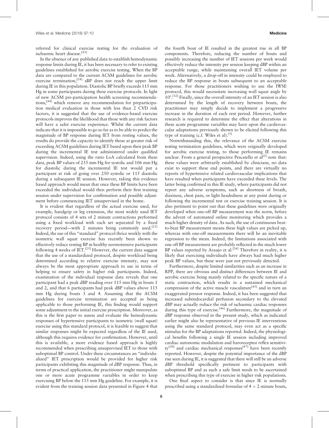referred for clinical exercise testing for the evaluation of ischaemic heart disease.<sup>[\[43\]](#page-8-0)</sup>

In the absence of any published data to establish hemodynamic response limits during IE, it has been necessary to refer to existing guidelines established for aerobic exercise testing. When the BP data are compared to the current ACSM guidelines for aerobic exercise termination, $^{[24]}$  $^{[24]}$  $^{[24]}$  sBP does not reach the upper limit during IE in this population. Diastolic BP briefly exceeds 115 mm Hg in some participants during these exercise protocols. In light of new ACSM pre-participation health screening recommendations,[\[44\]](#page-8-0) which remove any recommendation for preparticipation medical evaluation in those with less than 2 CVD risk factors, it is suggested that the use of evidence-based exercise protocols improves the likelihood that those with any risk factors will have a safer exercise experience. Whilst the current data indicate that it is impossible to go so far as to be able to predict the magnitude of BP response during IET from resting values, the results do provide the capacity to identify those at greater risk of exceeding ACSM guidelines during IET based upon their peak BP during the incremental IE test administered under qualified supervision. Indeed, using the ratio LoA calculated from these data, peak BP values of 235 mm Hg for systolic and 106 mm Hg for diastolic during the incremental IE test would put a participant at risk of going over 250 systolic or 115 diastolic during a subsequent IE session. However, taking this evidence based approach would mean that once these BP limits have been exceeded the individual would then perform their first training session under supervision for confirmation and possible adjustment before commencing IET unsupervised in the home.

It is evident that regardless of the actual exercise used, for example, handgrip or leg extension, the most widely used IET protocol consists of 4 sets of 2 minute contractions performed using a fixed workload with each set separated by a fixed recovery period—with 2 minutes being commonly used.<sup>[\[21\]](#page-7-0)</sup> Indeed, the use of this "standard" protocol thrice weekly with the isometric wall squat exercise has recently been shown to effectively reduce resting BP in healthy normotensive participants following 4 weeks of IET.<sup>[\[25\]](#page-7-0)</sup> However, the current data suggest that the use of a standardized protocol, despite workload being determined according to relative exercise intensity, may not always be the most appropriate approach to use in terms of helping to ensure safety in higher risk participants. Indeed, examination of the individual response data reveals that one participant had a peak dBP reading over 115 mm Hg in bouts 1 and 2, and that 6 participants had peak dBP values above 115 mm Hg during bouts 3 and 4. Assuming that the ACSM guidelines for exercise termination are accepted as being applicable to those performing IE, this finding would support some adjustment to the initial exercise prescription. Moreover, as this is the first paper to assess and evaluate the hemodynamic responses of hypertensive participants to isometric (wall squat) exercise using this standard protocol, it is feasible to suggest that similar responses might be expected regardless of the IE used, although this requires evidence for confirmation. However, until this is available, a more evidence based approach is highly recommended when prescribing unsupervised IET to those with suboptimal BP control. Under these circumstances an "individualized" IET prescription would be provided for higher risk participants exhibiting this magnitude of dBP response. Thus, in terms of practical application, the practitioner might manipulate one or more acute programme variables in order to keep exercising BP below the 115 mm Hg guideline. For example, it is evident from the training session data presented in [Figure 4](#page-5-0) that the fourth bout of IE resulted in the greatest rise in all BP components. Therefore, reducing the number of bouts and possibly increasing the number of IET sessions per week would effectively reduce the intensity per session keeping dBP within an acceptable range, while maintaining overall IET volume per week. Alternatively, a drop-off in intensity could be employed to reduce the BP response in bouts subsequent to an acceptable response. For those practitioners wishing to use the IWSE protocol, this would necessitate increasing wall squat angle by 10°.<sup>[\[32\]](#page-8-0)</sup> Finally, since the overall intensity of an IET session is also determined by the length of recovery between bouts, the practitioner may simply decide to implement a progressive increase in the duration of each rest period. However, further research is required to determine the effect that alterations in these acute programme variables may have upon the cardiovascular adaptations previously shown to be elicited following this type of training (c.f. Wiles et al).<sup>[\[5\]](#page-7-0)</sup>

Notwithstanding this, the relevance of the ACSM exercise testing termination guidelines, which were originally developed for aerobic exercise testing, to those performing IE remains unclear. From a general perspective Pescatello et  $al^{[2]}$  $al^{[2]}$  $al^{[2]}$  note that: these values were arbitrarily established by clinicians, no data exist to support these end points, and there are virtually no reports of hypertensive related cardiovascular implications that have resulted when participants have exceeded these levels. The latter being confirmed in this IE study, where participants did not report any adverse symptoms, such as shortness of breath, dizziness, chest pain, or light headedness at any point during or following the incremental test or exercise training session. It is also pertinent to point out that these guidelines were originally developed when one-off BP measurement was the norm, before the advent of automated online monitoring which provides a much higher density of data. As such, the use of continuous beatto-beat BP measurement means these high values are picked up, whereas with one-off measurements there will be an inevitable regression to the mean. Indeed, the limitations associated with one off BP measurement are probably reflected in the much lower BP values reported by Araujo et al.<sup>[\[26\]](#page-7-0)</sup> Therefore in reality, it is likely that exercising individuals have always had much higher peak BP values, but these were just not previously detected.

Furthermore, despite limited similarities such as an increase in RPP, there are obvious and distinct differences between IE and aerobic exercise being mainly related to the specific nature of a static contraction, which results in a sustained mechanical compression of the active muscle vasculature<sup>[\[45\]](#page-8-0)</sup> and in turn an exaggerated pressor response. Indeed, it has been suggested that increased subendocardial perfusion secondary to the elevated dBP may actually reduce the risk of ischaemic cardiac responses during this type of exercise.<sup>[\[46\]](#page-8-0)</sup> Furthermore, the magnitude of dBP response observed in the present study, which as indicated earlier might also be representative of previous IE interventions using the same standard protocol, may even act as a specific stimulus for the BP adaptations reported. Indeed, the physiological benefits following a single IE session including improved cardiac autonomic modulation and baroreceptor reflex sensitivi- $tv^{[30]}$  $tv^{[30]}$  $tv^{[30]}$  and cardiac mechanical responses<sup>[\[47\]](#page-8-0)</sup> have been recently reported. However, despite the potential importance of the dBP rise seen during IE, it is suggested that there will still be an adverse dBP threshold specifically pertinent to participants with suboptimal BP and as such a safe limit needs to be ascertained when prescribing this type of exercise in higher risk populations.

One final aspect to consider is that since IE is normally prescribed using a standardized formulae of  $4 \times 2$  minute bouts,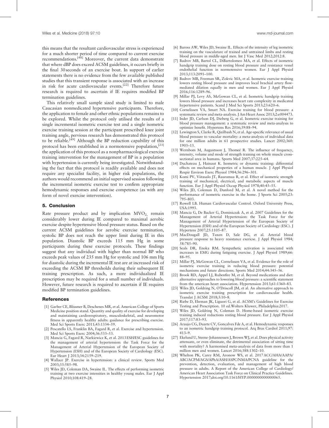<span id="page-7-0"></span>this means that the resultant cardiovascular stress is experienced for a much shorter period of time compared to current exercise recommendations.<sup>[\[48\]](#page-8-0)</sup> Moreover, the current data demonstrate that where dBP does exceed ACSM guidelines, it occurs briefly in the final 30 seconds of an exercise bout. In support of earlier statements there is no evidence from the few available published studies that this transient response is associated with an increase in risk for acute cardiovascular events.[22] Therefore future research is required to ascertain if IE requires modified BP termination guidelines.

This relatively small sample sized study is limited to male Caucasian nonmedicated hypertensive participants. Therefore, the application to female and other ethnic populations remains to be explored. Whilst the protocol only utilised the results of a single incremental isometric exercise test and a single isometric exercise training session at the participant prescribed knee joint training angle, pervious research has demonstrated this protocol to be reliable.<sup>[\[49\]](#page-8-0)</sup> Although the BP reduction capability of this protocol has been established in a normotensive population,<sup>[23]</sup> the application of this protocol as a nonpharmacological exercise training intervention for the management of BP in a population with hypertension is currently being investigated. Notwithstanding the fact that this protocol is readily available and does not require any specialist facility, in higher risk populations, the authors would recommend an initial supervised session following the incremental isometric exercise test to confirm appropriate hemodynamic responses and exercise competence (as with any form of novel exercise intervention).

#### 5. Conclusion

Rate pressure product and by implication  $MVO<sub>2</sub>$  remain considerably lower during IE compared to maximal aerobic exercise despite hypertensive blood pressure status. Based on the current ACSM guidelines for aerobic exercise termination, systolic BP does not reach the upper limit during IE in this population. Diastolic BP exceeds 115 mm Hg in some participants during these exercise protocols. These findings suggest that any individual with higher than normal BP who exceeds peak values of 235 mm Hg for systolic and 106 mm Hg for diastolic during the incremental IE test are at increased risk of exceeding the ACSM BP thresholds during their subsequent IE training prescription. As such, a more individualized IE prescription may be required for a small number of individuals. However, future research is required to ascertain if IE requires modified BP termination guidelines.

#### **References**

- [1] Garber CE, Blissmer B, Deschenes MR, et al. American College of Sports Medicine position stand. Quantity and quality of exercise for developing and maintaining cardiorespiratory, musculoskeletal, and neuromotor fitness in apparently healthy adults: guidance for prescribing exercise. Med Sci Sports Exerc 2011;43:1334–59.
- [2] Pescatello LS, Franklin BA, Fagard R, et al. Exercise and hypertension. Med Sci Sports Exerc 2004;36:533–53.
- [3] Mancia G, Fagard R, Narkiewicz K, et al. 2013 ESH/ESC guidelines for the management of arterial hypertension: the Task Force for the Management of Arterial Hypertension of the European Society of Hypertension (ESH) and of the European Society of Cardiology (ESC). Eur Heart J 2013;34:2159–219.
- [4] Wallace JP. Exercise in hypertension: a clinical review. Sports Med 2003;33:585–98.
- [5] Wiles JD, Coleman DA, Swaine IL. The effects of performing isometric training at two exercise intensities in healthy young males. Eur J Appl Physiol 2010;108:419–28.
- [6] Baross AW, Wiles JD, Swaine IL. Effects of the intensity of leg isometric training on the vasculature of trained and untrained limbs and resting blood pressure in middle-aged men. Int J Vasc Med 2012;2012:8.
- Badrov MB, Bartol CL, DiBartolomeo MA, et al. Effects of isometric handgrip training dose on resting blood pressure and resistance vessel endothelial function in normotensive women. Eur J Appl Physiol 2013;113:2091–100.
- [8] Badrov MB, Freeman SR, Zokvic MA, et al. Isometric exercise training lowers resting blood pressure and improves local brachial artery flowmediated dilation equally in men and women. Eur J Appl Physiol 2016;116:1289–96.
- [9] Millar PJ, Levy AS, McGowan CL, et al. Isometric handgrip training lowers blood pressure and increases heart rate complexity in medicated hypertensive patients. Scand J Med Sci Sports 2013;23:620–6.
- [10] Cornelissen VA, Smart NA. Exercise training for blood pressure: a systematic review and meta-analysis. J Am Heart Assoc 2013;2:e004473.
- [11] Inder JD, Carlson DJ, Dieberg G, et al. Isometric exercise training for blood pressure management: a systematic review and meta-analysis to optimize benefit. Hypertens Res 2016;39:88–94.
- [12] Lewington S, Clarke R, Qizilbash N, et al. Age-specific relevance of usual blood pressure to vascular mortality: a meta-analysis of individual data for one million adults in 61 prospective studies. Lancet 2002;360: 1903–13.
- [13] Wernbom M, Augustsson J, Thomeé R. The influence of frequency, intensity, volume and mode of strength training on whole muscle crosssectional area in humans. Sports Med 2007;37:225–64.
- [14] Duchateau J, Hainaut K. Isometric or dynamic training: differential effects on mechanical properties of a human muscle. J Appl Physiol Respir Environ Exerc Physiol 1984;56:296–301.
- [15] Komi PV, Viitasalo JT, Rauramaa R, et al. Effect of isometric strength training of mechanical, electrical, and metabolic aspects of muscle function. Eur J Appl Physiol Occup Physiol 1978;40:45–55.
- [16] Wiles JD, Coleman D, Dunford M, et al. A novel method for the performance of isometric exercise in the home. J Sports Sci 2005;23: 795–803.
- [17] Rowell LB. Human Cardiovascular Control. Oxford University Press, USA:1993.
- [18] Mancia G, De Backer G, Dominiczak A, et al. 2007 Guidelines for the Management of Arterial Hypertension: the Task Force for the Management of Arterial Hypertension of the European Society of Hypertension (ESH) and of the European Society of Cardiology (ESC). J Hypertens 2007;25:1105–87.
- [19] MacDougall JD, Tuxen D, Sale DG, et al. Arterial blood pressure response to heavy resistance exericse. J Appl Physiol 1984; 58:785–90.
- [20] Seals DR, Enoka RM. Sympathetic activation is associated with increases in EMG during fatiguing exercise. J Appl Physiol 1989;66: 88–95.
- [21] Millar PJ, McGowan CL, Cornelissen VA, et al. Evidence for the role of isometric exercise training in reducing blood pressure: potential mechanisms and future directions. Sports Med 2014;44:345–56.
- [22] Brook RD, Appel LJ, Rubenfire M, et al. Beyond medications and diet: alternative approaches to lowering blood pressure: a scientific statement from the american heart association. Hypertension 2013;61:1360–83.
- [23] Wiles JD, Goldring N, O'Driscoll JM, et al. An alternative approach to isometric exercise training prescription for cardiovascular health. Translat J ACSM 2018;3:10–8.
- [24] Riebe D, Ehrman JK, Liguori G, et al. ACSM's Guidelines for Exercise Testing and Prescription. 10 ed.Wolters Kluwer, Philadelphia:2017.
- [25] Wiles JD, Goldring N, Coleman D. Home-based isometric exercise training induced reductions resting blood pressure. Eur J Appl Physiol 2017;117:83–93.
- [26] Araujo CG, Duarte CV, Goncalves Fde A, et al. Hemodynamic responses to an isometric handgrip training protocol. Arq Bras Cardiol 2011;97: 413–9.
- [27] Ekelund U, Steene-Johannessen J, Brown WJ, et al. Does physical activity attenuate, or even eliminate, the detrimental association of sitting time with mortality? A harmonised meta-analysis of data from more than 1 million men and women. Lancet 2016;388:1302–10.
- [28] Whelton PK, Carey RM, Aronow WS, et al. 2017 ACC/AHA/AAPA/ ABC/ACPM/AGS/APhA/ASH/ASPC/NMA/PCNA guideline for the prevention, detection, evaluation, and management of high blood pressure in adults. A Report of the American College of Cardiology/ American Heart Association Task Force on Clinical Practice Guidelines. Hypertension 2017;doi.org/10.1161/HYP.0000000000000065.